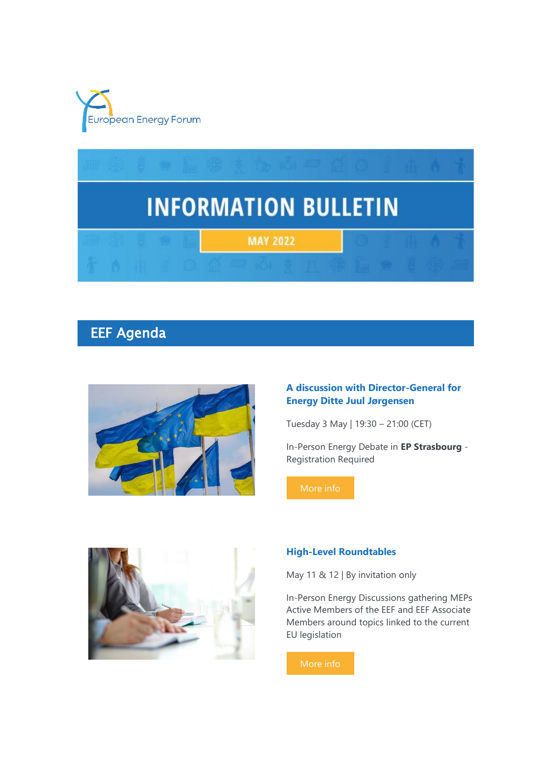



# EEF Agenda



### **A discussion with Director-General for Energy Ditte Juul Jørgensen**

Tuesday 3 May | 19:30 – 21:00 (CET)

In-Person Energy Debate in **EP Strasbourg** - Registration Required



#### **High-Level Roundtables**

May 11 & 12 | By invitation only

In-Person Energy Discussions gathering MEPs Active Members of the EEF and EEF Associate Members around topics linked to the current EU legislation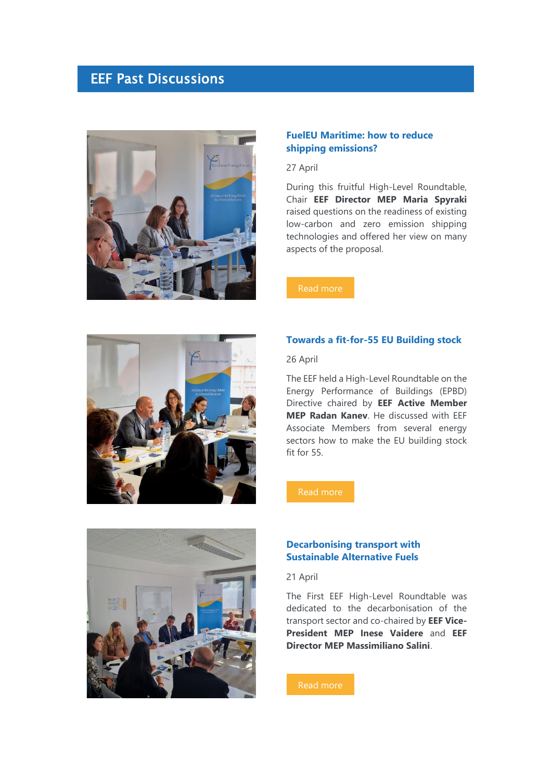## EEF Past Discussions



#### **FuelEU Maritime: how to reduce shipping emissions?**

27 April

During this fruitful High-Level Roundtable, Chair **EEF Director MEP Maria Spyraki** raised questions on the readiness of existing low-carbon and zero emission shipping technologies and offered her view on many aspects of the proposal.



### **Towards a fit-for-55 EU Building stock**

26 April

The EEF held a High-Level Roundtable on the Energy Performance of Buildings (EPBD) Directive chaired by **EEF Active Member MEP Radan Kanev**. He discussed with EEF Associate Members from several energy sectors how to make the EU building stock fit for 55.

[Read more](https://7n8k7.r.a.d.sendibm1.com/mk/cl/f/3aHdcbLsL5X3pkc5-eJXxTbH2o6VGtonsVhJYQMdR6ta4BtQMot_OHVFimVXC5vQx8yYu8qwMqm-amvvBAOAjP1eaXdMhr_nq9J9HNEjZ9htZENTZ9mm0lesSiiRpbMxr66PiQ1TJNFacSwqCjKj9B17AqBm82s4yCjbJMQWbMn2ikFYI2tfhF82Dv-Npc-BNSk3WWijHOF0pl_xCm2XVQOAde8pAv6s_QZCGJsYQjq90Bj_0d8t-zOdiYNHE1u-pjWW6N2bUNkrwyEaj3xozXTV4oIk54s)



#### **Decarbonising transport with Sustainable Alternative Fuels**

21 April

The First EEF High-Level Roundtable was dedicated to the decarbonisation of the transport sector and co-chaired by **EEF Vice-President MEP Inese Vaidere** and **EEF Director MEP Massimiliano Salini**.

[Read more](https://7n8k7.r.a.d.sendibm1.com/mk/cl/f/99NbCEnUlCvhnX2NwnFlW2sBAEWhA9sAKdqtF-kKY7oSxgR9_XG-pR44HqB8Qtn-o1q8-06GDpDw9cyko3Vj0mRB2QdfVLIg7o3vEpUSULH6pcOcx7bk86l3N1-LLl7sPy4eUNDATXJxZyXH5cXzYrJ_ADgc_lzbKZppqf9he3TrtUoFX5ISYOUUSOehFe65DL0wTj5j4X6vqV4Mz4-ms5uDxdRZXS-E3NoO1gX0tWapyws8xjWnl0IXc3SDWzuUh3DoG3CNGuVImy67XnGD8ZYEhNqEiXNFmtOqAstOlnDD5NXKWjVbPTKfVoRN)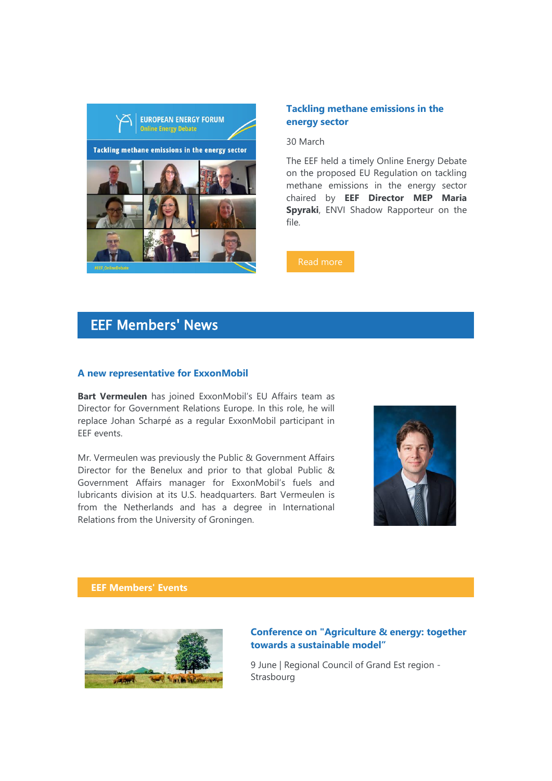

#### **Tackling methane emissions in the energy sector**

30 March

The EEF held a timely Online Energy Debate on the proposed EU Regulation on tackling methane emissions in the energy sector chaired by **EEF Director MEP Maria Spyraki**, ENVI Shadow Rapporteur on the file.

[Read more](https://7n8k7.r.a.d.sendibm1.com/mk/cl/f/_SmETeMJHCtyXAS4FHF6cYTxG2pZmIYV6r2va1A4gkF9o-xhHiSlJ1e4MDFcpXpCvTQqOQhIDxG5kJvue46jgJ7WZXYppU_PFLC9roNsc5CyEQWAaR1ZQC6_lc7kHjiSDRhVuCa-fhey5lCYc-NHYasycLbJiFZWzE0t80GdO6NZ5rOpjeawaxScalX4-tEFs_rByV8C_13yIfgdmhKrbsio16Z-TR66zZYjTo3fDvj7IKdjoL28ClVcz0Glt1jo7_R2cFEQhP5emg)

## EEF Members' News

#### **A new representative for ExxonMobil**

**Bart Vermeulen** has joined ExxonMobil's EU Affairs team as Director for Government Relations Europe. In this role, he will replace Johan Scharpé as a regular ExxonMobil participant in EEF events.

Mr. Vermeulen was previously the Public & Government Affairs Director for the Benelux and prior to that global Public & Government Affairs manager for ExxonMobil's fuels and lubricants division at its U.S. headquarters. Bart Vermeulen is from the Netherlands and has a degree in International Relations from the University of Groningen.



**EEF Members' Events**



#### **Conference on "Agriculture & energy: together towards a sustainable model"**

9 June | Regional Council of Grand Est region - **Strasbourg**